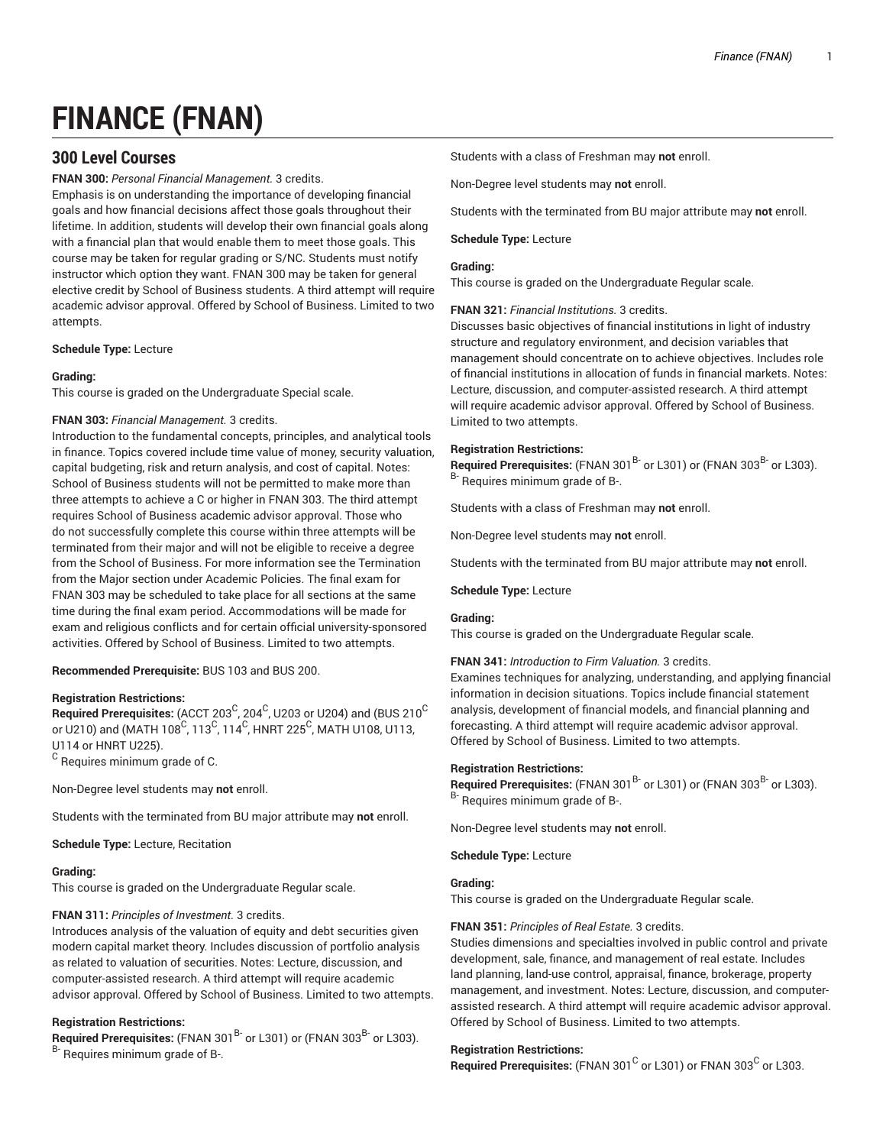# **FINANCE (FNAN)**

# **300 Level Courses**

## **FNAN 300:** *Personal Financial Management.* 3 credits.

Emphasis is on understanding the importance of developing financial goals and how financial decisions affect those goals throughout their lifetime. In addition, students will develop their own financial goals along with a financial plan that would enable them to meet those goals. This course may be taken for regular grading or S/NC. Students must notify instructor which option they want. FNAN 300 may be taken for general elective credit by School of Business students. A third attempt will require academic advisor approval. Offered by School of Business. Limited to two attempts.

## **Schedule Type:** Lecture

#### **Grading:**

This course is graded on the Undergraduate Special scale.

## **FNAN 303:** *Financial Management.* 3 credits.

Introduction to the fundamental concepts, principles, and analytical tools in finance. Topics covered include time value of money, security valuation, capital budgeting, risk and return analysis, and cost of capital. Notes: School of Business students will not be permitted to make more than three attempts to achieve a C or higher in FNAN 303. The third attempt requires School of Business academic advisor approval. Those who do not successfully complete this course within three attempts will be terminated from their major and will not be eligible to receive a degree from the School of Business. For more information see the Termination from the Major section under Academic Policies. The final exam for FNAN 303 may be scheduled to take place for all sections at the same time during the final exam period. Accommodations will be made for exam and religious conflicts and for certain official university-sponsored activities. Offered by School of Business. Limited to two attempts.

## **Recommended Prerequisite:** BUS 103 and BUS 200.

## **Registration Restrictions:**

 $\bf{Required~Pre requires:}$  (ACCT 203 $^{\rm C}$ , 204 $^{\rm C}$ , U203 or U204) and (BUS 210 $^{\rm C}$ or U210) and (MATH 108 $^{\mathrm{C}}$ , 113 $^{\mathrm{C}}$ , 114 $^{\mathrm{C}}$ , HNRT 225 $^{\mathrm{C}}$ , MATH U108, U113, U114 or HNRT U225).  $^{\rm C}$  Requires minimum grade of C.

Non-Degree level students may **not** enroll.

Students with the terminated from BU major attribute may **not** enroll.

**Schedule Type:** Lecture, Recitation

## **Grading:**

This course is graded on the Undergraduate Regular scale.

## **FNAN 311:** *Principles of Investment.* 3 credits.

Introduces analysis of the valuation of equity and debt securities given modern capital market theory. Includes discussion of portfolio analysis as related to valuation of securities. Notes: Lecture, discussion, and computer-assisted research. A third attempt will require academic advisor approval. Offered by School of Business. Limited to two attempts.

## **Registration Restrictions:**

**Required Prerequisites:** (FNAN 301<sup>B-</sup> or L301) or (FNAN 303<sup>B-</sup> or L303). B- Requires minimum grade of B-.

Students with a class of Freshman may **not** enroll.

Non-Degree level students may **not** enroll.

Students with the terminated from BU major attribute may **not** enroll.

## **Schedule Type:** Lecture

## **Grading:**

This course is graded on the Undergraduate Regular scale.

#### **FNAN 321:** *Financial Institutions.* 3 credits.

Discusses basic objectives of financial institutions in light of industry structure and regulatory environment, and decision variables that management should concentrate on to achieve objectives. Includes role of financial institutions in allocation of funds in financial markets. Notes: Lecture, discussion, and computer-assisted research. A third attempt will require academic advisor approval. Offered by School of Business. Limited to two attempts.

#### **Registration Restrictions:**

**Required Prerequisites:** (FNAN 301<sup>B-</sup> or L301) or (FNAN 303<sup>B-</sup> or L303). B- Requires minimum grade of B-.

Students with a class of Freshman may **not** enroll.

Non-Degree level students may **not** enroll.

Students with the terminated from BU major attribute may **not** enroll.

#### **Schedule Type:** Lecture

## **Grading:**

This course is graded on the Undergraduate Regular scale.

## **FNAN 341:** *Introduction to Firm Valuation.* 3 credits.

Examines techniques for analyzing, understanding, and applying financial information in decision situations. Topics include financial statement analysis, development of financial models, and financial planning and forecasting. A third attempt will require academic advisor approval. Offered by School of Business. Limited to two attempts.

## **Registration Restrictions:**

**Required Prerequisites:** (FNAN 301 B- or L301) or (FNAN 303 B- or L303). B- Requires minimum grade of B-.

Non-Degree level students may **not** enroll.

**Schedule Type:** Lecture

## **Grading:**

This course is graded on the Undergraduate Regular scale.

## **FNAN 351:** *Principles of Real Estate.* 3 credits.

Studies dimensions and specialties involved in public control and private development, sale, finance, and management of real estate. Includes land planning, land-use control, appraisal, finance, brokerage, property management, and investment. Notes: Lecture, discussion, and computerassisted research. A third attempt will require academic advisor approval. Offered by School of Business. Limited to two attempts.

## **Registration Restrictions:**

Required Prerequisites: (FNAN 301<sup>C</sup> or L301) or FNAN 303<sup>C</sup> or L303.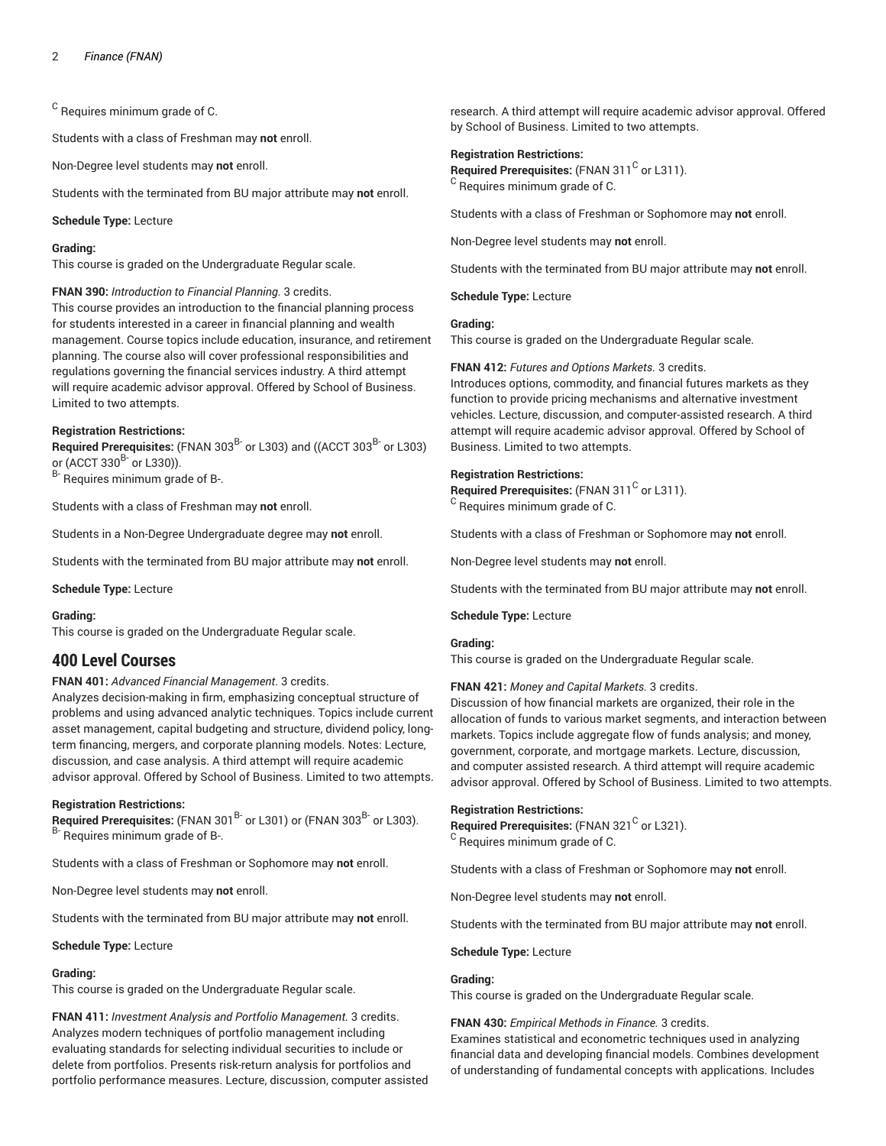$^{\rm C}$  Requires minimum grade of C.

Students with a class of Freshman may **not** enroll.

Non-Degree level students may **not** enroll.

Students with the terminated from BU major attribute may **not** enroll.

**Schedule Type:** Lecture

#### **Grading:**

This course is graded on the Undergraduate Regular scale.

## **FNAN 390:** *Introduction to Financial Planning.* 3 credits.

This course provides an introduction to the financial planning process for students interested in a career in financial planning and wealth management. Course topics include education, insurance, and retirement planning. The course also will cover professional responsibilities and regulations governing the financial services industry. A third attempt will require academic advisor approval. Offered by School of Business. Limited to two attempts.

## **Registration Restrictions:**

**Required Prerequisites:** (FNAN 303 B- or L303) and ((ACCT 303 B- or L303) or (ACCT 330<sup>B-</sup> or L330)).

B- Requires minimum grade of B-.

Students with a class of Freshman may **not** enroll.

Students in a Non-Degree Undergraduate degree may **not** enroll.

Students with the terminated from BU major attribute may **not** enroll.

**Schedule Type:** Lecture

#### **Grading:**

This course is graded on the Undergraduate Regular scale.

## **400 Level Courses**

## **FNAN 401:** *Advanced Financial Management.* 3 credits.

Analyzes decision-making in firm, emphasizing conceptual structure of problems and using advanced analytic techniques. Topics include current asset management, capital budgeting and structure, dividend policy, longterm financing, mergers, and corporate planning models. Notes: Lecture, discussion, and case analysis. A third attempt will require academic advisor approval. Offered by School of Business. Limited to two attempts.

#### **Registration Restrictions:**

**Required Prerequisites:** (FNAN 301<sup>B-</sup> or L301) or (FNAN 303<sup>B-</sup> or L303). B- Requires minimum grade of B-.

Students with a class of Freshman or Sophomore may **not** enroll.

Non-Degree level students may **not** enroll.

Students with the terminated from BU major attribute may **not** enroll.

#### **Schedule Type:** Lecture

## **Grading:**

This course is graded on the Undergraduate Regular scale.

**FNAN 411:** *Investment Analysis and Portfolio Management.* 3 credits. Analyzes modern techniques of portfolio management including evaluating standards for selecting individual securities to include or delete from portfolios. Presents risk-return analysis for portfolios and portfolio performance measures. Lecture, discussion, computer assisted

research. A third attempt will require academic advisor approval. Offered by School of Business. Limited to two attempts.

#### **Registration Restrictions:**

Required Prerequisites: (FNAN 311<sup>C</sup> or L311). <sup>C</sup> Requires minimum grade of C.

Students with a class of Freshman or Sophomore may **not** enroll.

Non-Degree level students may **not** enroll.

Students with the terminated from BU major attribute may **not** enroll.

**Schedule Type:** Lecture

#### **Grading:**

This course is graded on the Undergraduate Regular scale.

## **FNAN 412:** *Futures and Options Markets.* 3 credits.

Introduces options, commodity, and financial futures markets as they function to provide pricing mechanisms and alternative investment vehicles. Lecture, discussion, and computer-assisted research. A third attempt will require academic advisor approval. Offered by School of Business. Limited to two attempts.

#### **Registration Restrictions:**

Required Prerequisites: (FNAN 311<sup>C</sup> or L311).  $\rm ^C$  Requires minimum grade of C.

Students with a class of Freshman or Sophomore may **not** enroll.

Non-Degree level students may **not** enroll.

Students with the terminated from BU major attribute may **not** enroll.

## **Schedule Type:** Lecture

## **Grading:**

This course is graded on the Undergraduate Regular scale.

## **FNAN 421:** *Money and Capital Markets.* 3 credits.

Discussion of how financial markets are organized, their role in the allocation of funds to various market segments, and interaction between markets. Topics include aggregate flow of funds analysis; and money, government, corporate, and mortgage markets. Lecture, discussion, and computer assisted research. A third attempt will require academic advisor approval. Offered by School of Business. Limited to two attempts.

## **Registration Restrictions:**

Required Prerequisites: (FNAN 321<sup>C</sup> or L321). <sup>C</sup> Requires minimum grade of C.

Students with a class of Freshman or Sophomore may **not** enroll.

Non-Degree level students may **not** enroll.

Students with the terminated from BU major attribute may **not** enroll.

#### **Schedule Type:** Lecture

## **Grading:**

This course is graded on the Undergraduate Regular scale.

## **FNAN 430:** *Empirical Methods in Finance.* 3 credits.

Examines statistical and econometric techniques used in analyzing financial data and developing financial models. Combines development of understanding of fundamental concepts with applications. Includes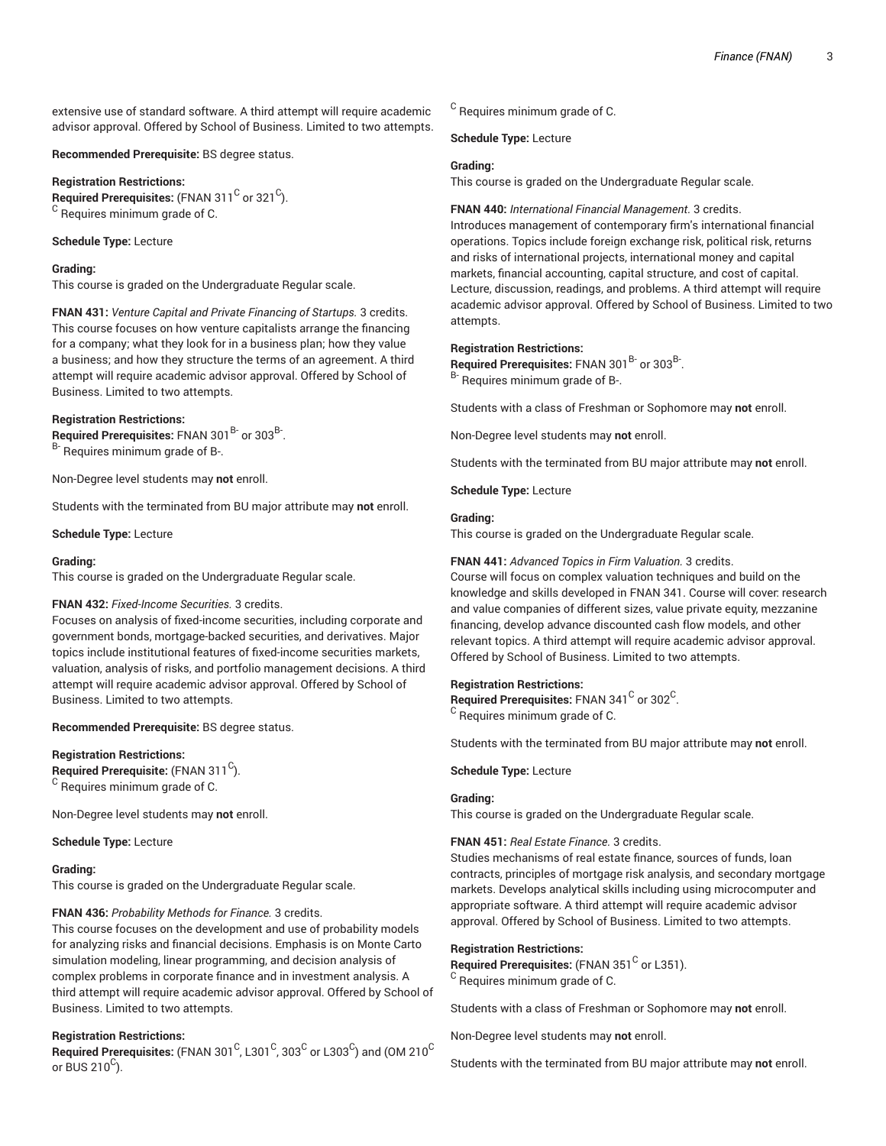extensive use of standard software. A third attempt will require academic advisor approval. Offered by School of Business. Limited to two attempts.

**Recommended Prerequisite:** BS degree status.

**Registration Restrictions:**

 $\mathsf{\mathsf{Required\ Pre}}$  recequisites: (FNAN 311  $^{\mathsf{C}}$  or 321  $^{\mathsf{C}}$ ). <sup>C</sup> Requires minimum grade of C.

**Schedule Type:** Lecture

## **Grading:**

This course is graded on the Undergraduate Regular scale.

**FNAN 431:** *Venture Capital and Private Financing of Startups.* 3 credits. This course focuses on how venture capitalists arrange the financing for a company; what they look for in a business plan; how they value a business; and how they structure the terms of an agreement. A third attempt will require academic advisor approval. Offered by School of Business. Limited to two attempts.

## **Registration Restrictions:**

Required Prerequisites: FNAN 301<sup>B-</sup> or 303<sup>B-</sup>. <sup>B-</sup> Requires minimum grade of B-.

Non-Degree level students may **not** enroll.

Students with the terminated from BU major attribute may **not** enroll.

**Schedule Type:** Lecture

#### **Grading:**

This course is graded on the Undergraduate Regular scale.

## **FNAN 432:** *Fixed-Income Securities.* 3 credits.

Focuses on analysis of fixed-income securities, including corporate and government bonds, mortgage-backed securities, and derivatives. Major topics include institutional features of fixed-income securities markets, valuation, analysis of risks, and portfolio management decisions. A third attempt will require academic advisor approval. Offered by School of Business. Limited to two attempts.

**Recommended Prerequisite:** BS degree status.

#### **Registration Restrictions:**

**Required Prerequisite:** (FNAN 311 C ).  $^{\rm C}$  Requires minimum grade of C.

Non-Degree level students may **not** enroll.

**Schedule Type:** Lecture

## **Grading:**

This course is graded on the Undergraduate Regular scale.

## **FNAN 436:** *Probability Methods for Finance.* 3 credits.

This course focuses on the development and use of probability models for analyzing risks and financial decisions. Emphasis is on Monte Carto simulation modeling, linear programming, and decision analysis of complex problems in corporate finance and in investment analysis. A third attempt will require academic advisor approval. Offered by School of Business. Limited to two attempts.

## **Registration Restrictions:**

 $\bf{Required\ Pre requires:}$  (FNAN 301  $^{\rm C}$ , L301  $^{\rm C}$ , 303  $^{\rm C}$  or L303  $^{\rm C}$ ) and (OM 210  $^{\rm C}$ or BUS 210 $^{\text{C}}$ ).

 $^{\rm C}$  Requires minimum grade of C.

**Schedule Type:** Lecture

## **Grading:**

This course is graded on the Undergraduate Regular scale.

#### **FNAN 440:** *International Financial Management.* 3 credits.

Introduces management of contemporary firm's international financial operations. Topics include foreign exchange risk, political risk, returns and risks of international projects, international money and capital markets, financial accounting, capital structure, and cost of capital. Lecture, discussion, readings, and problems. A third attempt will require academic advisor approval. Offered by School of Business. Limited to two attempts.

## **Registration Restrictions:**

Required Prerequisites: FNAN 301<sup>B-</sup> or 303<sup>B-</sup>. B- Requires minimum grade of B-.

Students with a class of Freshman or Sophomore may **not** enroll.

Non-Degree level students may **not** enroll.

Students with the terminated from BU major attribute may **not** enroll.

**Schedule Type:** Lecture

#### **Grading:**

This course is graded on the Undergraduate Regular scale.

#### **FNAN 441:** *Advanced Topics in Firm Valuation.* 3 credits.

Course will focus on complex valuation techniques and build on the knowledge and skills developed in FNAN 341. Course will cover: research and value companies of different sizes, value private equity, mezzanine financing, develop advance discounted cash flow models, and other relevant topics. A third attempt will require academic advisor approval. Offered by School of Business. Limited to two attempts.

## **Registration Restrictions:**

 $\mathsf{Required}$  Prerequisites: FNAN 341  $^\mathsf{C}$  or 302  $^\mathsf{C}$ .  $^{\rm C}$  Requires minimum grade of C.

Students with the terminated from BU major attribute may **not** enroll.

#### **Schedule Type:** Lecture

#### **Grading:**

This course is graded on the Undergraduate Regular scale.

## **FNAN 451:** *Real Estate Finance.* 3 credits.

Studies mechanisms of real estate finance, sources of funds, loan contracts, principles of mortgage risk analysis, and secondary mortgage markets. Develops analytical skills including using microcomputer and appropriate software. A third attempt will require academic advisor approval. Offered by School of Business. Limited to two attempts.

## **Registration Restrictions:**

Required Prerequisites: (FNAN 351<sup>C</sup> or L351). <sup>C</sup> Requires minimum grade of C.

Students with a class of Freshman or Sophomore may **not** enroll.

Non-Degree level students may **not** enroll.

Students with the terminated from BU major attribute may **not** enroll.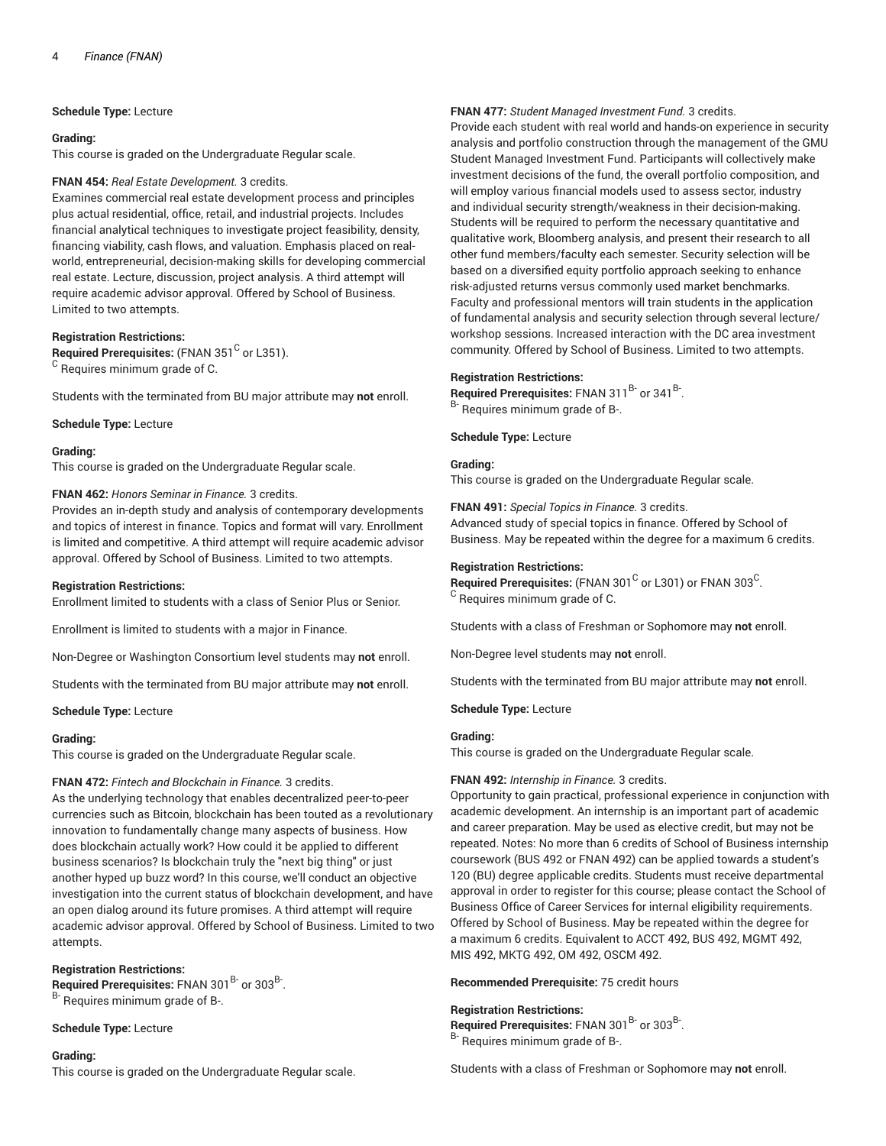**Schedule Type:** Lecture

#### **Grading:**

This course is graded on the Undergraduate Regular scale.

## **FNAN 454:** *Real Estate Development.* 3 credits.

Examines commercial real estate development process and principles plus actual residential, office, retail, and industrial projects. Includes financial analytical techniques to investigate project feasibility, density, financing viability, cash flows, and valuation. Emphasis placed on realworld, entrepreneurial, decision-making skills for developing commercial real estate. Lecture, discussion, project analysis. A third attempt will require academic advisor approval. Offered by School of Business. Limited to two attempts.

## **Registration Restrictions:**

**Required Prerequisites:** (FNAN 351<sup>C</sup> or L351). <sup>C</sup> Requires minimum grade of C.

Students with the terminated from BU major attribute may **not** enroll.

**Schedule Type:** Lecture

#### **Grading:**

This course is graded on the Undergraduate Regular scale.

#### **FNAN 462:** *Honors Seminar in Finance.* 3 credits.

Provides an in-depth study and analysis of contemporary developments and topics of interest in finance. Topics and format will vary. Enrollment is limited and competitive. A third attempt will require academic advisor approval. Offered by School of Business. Limited to two attempts.

#### **Registration Restrictions:**

Enrollment limited to students with a class of Senior Plus or Senior.

Enrollment is limited to students with a major in Finance.

Non-Degree or Washington Consortium level students may **not** enroll.

Students with the terminated from BU major attribute may **not** enroll.

#### **Schedule Type:** Lecture

#### **Grading:**

This course is graded on the Undergraduate Regular scale.

## **FNAN 472:** *Fintech and Blockchain in Finance.* 3 credits.

As the underlying technology that enables decentralized peer-to-peer currencies such as Bitcoin, blockchain has been touted as a revolutionary innovation to fundamentally change many aspects of business. How does blockchain actually work? How could it be applied to different business scenarios? Is blockchain truly the "next big thing" or just another hyped up buzz word? In this course, we'll conduct an objective investigation into the current status of blockchain development, and have an open dialog around its future promises. A third attempt will require academic advisor approval. Offered by School of Business. Limited to two attempts.

## **Registration Restrictions:**

Required Prerequisites: FNAN 301<sup>B-</sup> or 303<sup>B-</sup>. B- Requires minimum grade of B-.

## **Schedule Type:** Lecture

## **Grading:**

This course is graded on the Undergraduate Regular scale.

## **FNAN 477:** *Student Managed Investment Fund.* 3 credits.

Provide each student with real world and hands-on experience in security analysis and portfolio construction through the management of the GMU Student Managed Investment Fund. Participants will collectively make investment decisions of the fund, the overall portfolio composition, and will employ various financial models used to assess sector, industry and individual security strength/weakness in their decision-making. Students will be required to perform the necessary quantitative and qualitative work, Bloomberg analysis, and present their research to all other fund members/faculty each semester. Security selection will be based on a diversified equity portfolio approach seeking to enhance risk-adjusted returns versus commonly used market benchmarks. Faculty and professional mentors will train students in the application of fundamental analysis and security selection through several lecture/ workshop sessions. Increased interaction with the DC area investment community. Offered by School of Business. Limited to two attempts.

#### **Registration Restrictions:**

Required Prerequisites: FNAN 311<sup>B-</sup> or 341<sup>B-</sup>. B- Requires minimum grade of B-.

**Schedule Type:** Lecture

#### **Grading:**

This course is graded on the Undergraduate Regular scale.

**FNAN 491:** *Special Topics in Finance.* 3 credits. Advanced study of special topics in finance. Offered by School of Business. May be repeated within the degree for a maximum 6 credits.

#### **Registration Restrictions:**

 $\mathsf{\mathsf{Required\ Pre} }$  recequisites: (FNAN 301  $^\mathsf{C}$  or L301) or FNAN 303  $^\mathsf{C}$ . <sup>C</sup> Requires minimum grade of C.

Students with a class of Freshman or Sophomore may **not** enroll.

Non-Degree level students may **not** enroll.

Students with the terminated from BU major attribute may **not** enroll.

## **Schedule Type:** Lecture

## **Grading:**

This course is graded on the Undergraduate Regular scale.

## **FNAN 492:** *Internship in Finance.* 3 credits.

Opportunity to gain practical, professional experience in conjunction with academic development. An internship is an important part of academic and career preparation. May be used as elective credit, but may not be repeated. Notes: No more than 6 credits of School of Business internship coursework (BUS 492 or FNAN 492) can be applied towards a student's 120 (BU) degree applicable credits. Students must receive departmental approval in order to register for this course; please contact the School of Business Office of Career Services for internal eligibility requirements. Offered by School of Business. May be repeated within the degree for a maximum 6 credits. Equivalent to ACCT 492, BUS 492, MGMT 492, MIS 492, MKTG 492, OM 492, OSCM 492.

#### **Recommended Prerequisite:** 75 credit hours

## **Registration Restrictions:**

Required Prerequisites: FNAN 301<sup>B-</sup> or 303<sup>B-</sup>. <sup>B-</sup> Requires minimum grade of B-.

Students with a class of Freshman or Sophomore may **not** enroll.